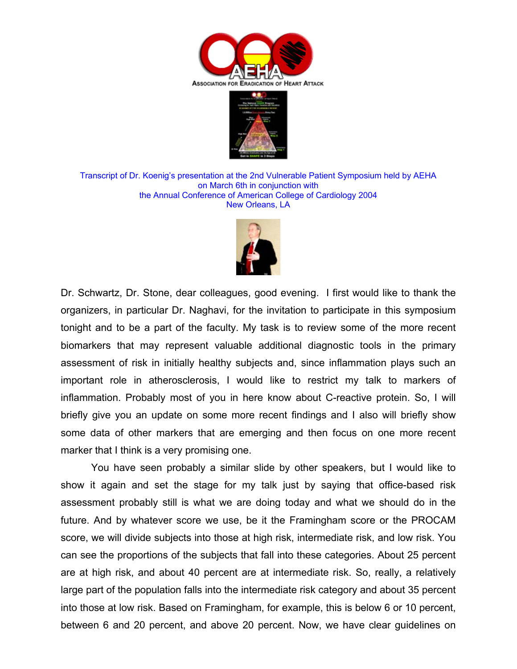



Transcript of Dr. Koenig's presentation at the 2nd Vulnerable Patient Symposium held by AEHA on March 6th in conjunction with the Annual Conference of American College of Cardiology 2004 New Orleans, LA



Dr. Schwartz, Dr. Stone, dear colleagues, good evening. I first would like to thank the organizers, in particular Dr. Naghavi, for the invitation to participate in this symposium tonight and to be a part of the faculty. My task is to review some of the more recent biomarkers that may represent valuable additional diagnostic tools in the primary assessment of risk in initially healthy subjects and, since inflammation plays such an important role in atherosclerosis, I would like to restrict my talk to markers of inflammation. Probably most of you in here know about C-reactive protein. So, I will briefly give you an update on some more recent findings and I also will briefly show some data of other markers that are emerging and then focus on one more recent marker that I think is a very promising one.

 You have seen probably a similar slide by other speakers, but I would like to show it again and set the stage for my talk just by saying that office-based risk assessment probably still is what we are doing today and what we should do in the future. And by whatever score we use, be it the Framingham score or the PROCAM score, we will divide subjects into those at high risk, intermediate risk, and low risk. You can see the proportions of the subjects that fall into these categories. About 25 percent are at high risk, and about 40 percent are at intermediate risk. So, really, a relatively large part of the population falls into the intermediate risk category and about 35 percent into those at low risk. Based on Framingham, for example, this is below 6 or 10 percent, between 6 and 20 percent, and above 20 percent. Now, we have clear guidelines on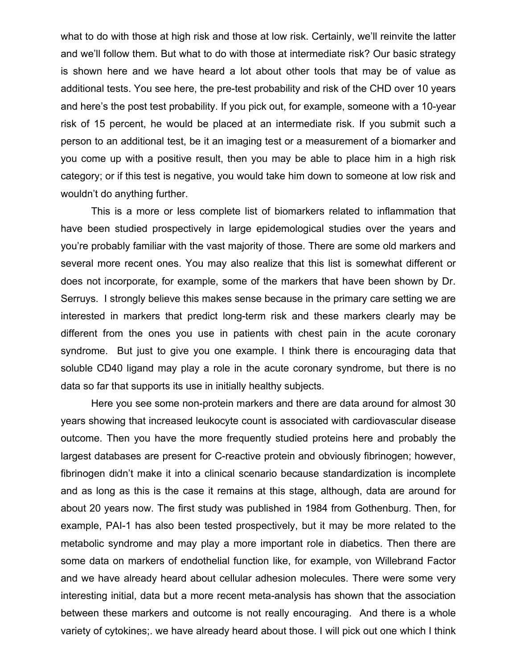what to do with those at high risk and those at low risk. Certainly, we'll reinvite the latter and we'll follow them. But what to do with those at intermediate risk? Our basic strategy is shown here and we have heard a lot about other tools that may be of value as additional tests. You see here, the pre-test probability and risk of the CHD over 10 years and here's the post test probability. If you pick out, for example, someone with a 10-year risk of 15 percent, he would be placed at an intermediate risk. If you submit such a person to an additional test, be it an imaging test or a measurement of a biomarker and you come up with a positive result, then you may be able to place him in a high risk category; or if this test is negative, you would take him down to someone at low risk and wouldn't do anything further.

 This is a more or less complete list of biomarkers related to inflammation that have been studied prospectively in large epidemological studies over the years and you're probably familiar with the vast majority of those. There are some old markers and several more recent ones. You may also realize that this list is somewhat different or does not incorporate, for example, some of the markers that have been shown by Dr. Serruys. I strongly believe this makes sense because in the primary care setting we are interested in markers that predict long-term risk and these markers clearly may be different from the ones you use in patients with chest pain in the acute coronary syndrome. But just to give you one example. I think there is encouraging data that soluble CD40 ligand may play a role in the acute coronary syndrome, but there is no data so far that supports its use in initially healthy subjects.

 Here you see some non-protein markers and there are data around for almost 30 years showing that increased leukocyte count is associated with cardiovascular disease outcome. Then you have the more frequently studied proteins here and probably the largest databases are present for C-reactive protein and obviously fibrinogen; however, fibrinogen didn't make it into a clinical scenario because standardization is incomplete and as long as this is the case it remains at this stage, although, data are around for about 20 years now. The first study was published in 1984 from Gothenburg. Then, for example, PAI-1 has also been tested prospectively, but it may be more related to the metabolic syndrome and may play a more important role in diabetics. Then there are some data on markers of endothelial function like, for example, von Willebrand Factor and we have already heard about cellular adhesion molecules. There were some very interesting initial, data but a more recent meta-analysis has shown that the association between these markers and outcome is not really encouraging. And there is a whole variety of cytokines;. we have already heard about those. I will pick out one which I think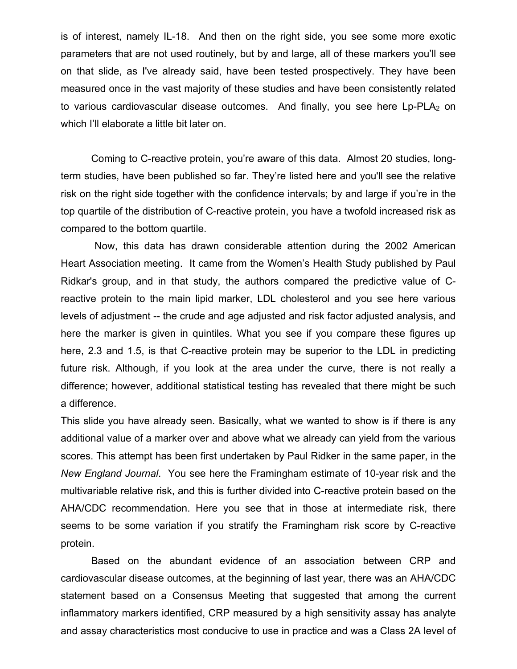is of interest, namely IL-18. And then on the right side, you see some more exotic parameters that are not used routinely, but by and large, all of these markers you'll see on that slide, as I've already said, have been tested prospectively. They have been measured once in the vast majority of these studies and have been consistently related to various cardiovascular disease outcomes. And finally, you see here  $L_p-PLA_2$  on which I'll elaborate a little bit later on.

 Coming to C-reactive protein, you're aware of this data. Almost 20 studies, longterm studies, have been published so far. They're listed here and you'll see the relative risk on the right side together with the confidence intervals; by and large if you're in the top quartile of the distribution of C-reactive protein, you have a twofold increased risk as compared to the bottom quartile.

 Now, this data has drawn considerable attention during the 2002 American Heart Association meeting. It came from the Women's Health Study published by Paul Ridkar's group, and in that study, the authors compared the predictive value of Creactive protein to the main lipid marker, LDL cholesterol and you see here various levels of adjustment -- the crude and age adjusted and risk factor adjusted analysis, and here the marker is given in quintiles. What you see if you compare these figures up here, 2.3 and 1.5, is that C-reactive protein may be superior to the LDL in predicting future risk. Although, if you look at the area under the curve, there is not really a difference; however, additional statistical testing has revealed that there might be such a difference.

This slide you have already seen. Basically, what we wanted to show is if there is any additional value of a marker over and above what we already can yield from the various scores. This attempt has been first undertaken by Paul Ridker in the same paper, in the *New England Journal*. You see here the Framingham estimate of 10-year risk and the multivariable relative risk, and this is further divided into C-reactive protein based on the AHA/CDC recommendation. Here you see that in those at intermediate risk, there seems to be some variation if you stratify the Framingham risk score by C-reactive protein.

 Based on the abundant evidence of an association between CRP and cardiovascular disease outcomes, at the beginning of last year, there was an AHA/CDC statement based on a Consensus Meeting that suggested that among the current inflammatory markers identified, CRP measured by a high sensitivity assay has analyte and assay characteristics most conducive to use in practice and was a Class 2A level of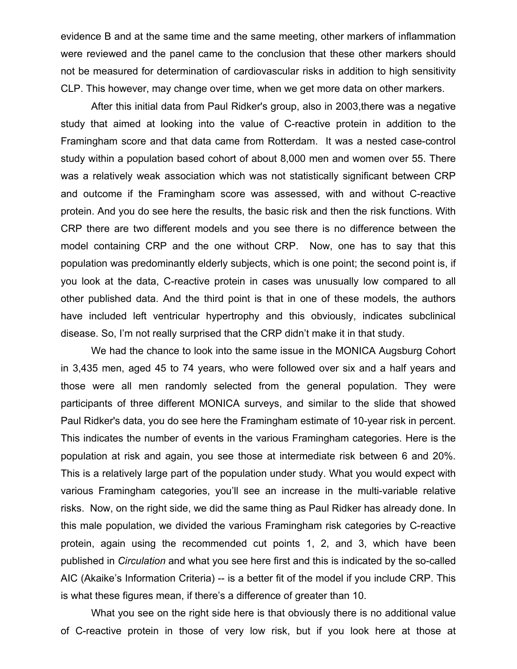evidence B and at the same time and the same meeting, other markers of inflammation were reviewed and the panel came to the conclusion that these other markers should not be measured for determination of cardiovascular risks in addition to high sensitivity CLP. This however, may change over time, when we get more data on other markers.

 After this initial data from Paul Ridker's group, also in 2003,there was a negative study that aimed at looking into the value of C-reactive protein in addition to the Framingham score and that data came from Rotterdam. It was a nested case-control study within a population based cohort of about 8,000 men and women over 55. There was a relatively weak association which was not statistically significant between CRP and outcome if the Framingham score was assessed, with and without C-reactive protein. And you do see here the results, the basic risk and then the risk functions. With CRP there are two different models and you see there is no difference between the model containing CRP and the one without CRP. Now, one has to say that this population was predominantly elderly subjects, which is one point; the second point is, if you look at the data, C-reactive protein in cases was unusually low compared to all other published data. And the third point is that in one of these models, the authors have included left ventricular hypertrophy and this obviously, indicates subclinical disease. So, I'm not really surprised that the CRP didn't make it in that study.

 We had the chance to look into the same issue in the MONICA Augsburg Cohort in 3,435 men, aged 45 to 74 years, who were followed over six and a half years and those were all men randomly selected from the general population. They were participants of three different MONICA surveys, and similar to the slide that showed Paul Ridker's data, you do see here the Framingham estimate of 10-year risk in percent. This indicates the number of events in the various Framingham categories. Here is the population at risk and again, you see those at intermediate risk between 6 and 20%. This is a relatively large part of the population under study. What you would expect with various Framingham categories, you'll see an increase in the multi-variable relative risks. Now, on the right side, we did the same thing as Paul Ridker has already done. In this male population, we divided the various Framingham risk categories by C-reactive protein, again using the recommended cut points 1, 2, and 3, which have been published in *Circulation* and what you see here first and this is indicated by the so-called AIC (Akaike's Information Criteria) -- is a better fit of the model if you include CRP. This is what these figures mean, if there's a difference of greater than 10.

 What you see on the right side here is that obviously there is no additional value of C-reactive protein in those of very low risk, but if you look here at those at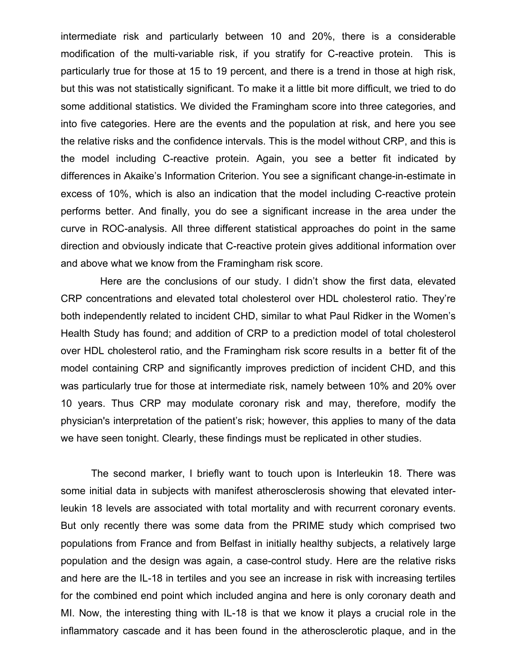intermediate risk and particularly between 10 and 20%, there is a considerable modification of the multi-variable risk, if you stratify for C-reactive protein. This is particularly true for those at 15 to 19 percent, and there is a trend in those at high risk, but this was not statistically significant. To make it a little bit more difficult, we tried to do some additional statistics. We divided the Framingham score into three categories, and into five categories. Here are the events and the population at risk, and here you see the relative risks and the confidence intervals. This is the model without CRP, and this is the model including C-reactive protein. Again, you see a better fit indicated by differences in Akaike's Information Criterion. You see a significant change-in-estimate in excess of 10%, which is also an indication that the model including C-reactive protein performs better. And finally, you do see a significant increase in the area under the curve in ROC-analysis. All three different statistical approaches do point in the same direction and obviously indicate that C-reactive protein gives additional information over and above what we know from the Framingham risk score.

 Here are the conclusions of our study. I didn't show the first data, elevated CRP concentrations and elevated total cholesterol over HDL cholesterol ratio. They're both independently related to incident CHD, similar to what Paul Ridker in the Women's Health Study has found; and addition of CRP to a prediction model of total cholesterol over HDL cholesterol ratio, and the Framingham risk score results in a better fit of the model containing CRP and significantly improves prediction of incident CHD, and this was particularly true for those at intermediate risk, namely between 10% and 20% over 10 years. Thus CRP may modulate coronary risk and may, therefore, modify the physician's interpretation of the patient's risk; however, this applies to many of the data we have seen tonight. Clearly, these findings must be replicated in other studies.

 The second marker, I briefly want to touch upon is Interleukin 18. There was some initial data in subjects with manifest atherosclerosis showing that elevated interleukin 18 levels are associated with total mortality and with recurrent coronary events. But only recently there was some data from the PRIME study which comprised two populations from France and from Belfast in initially healthy subjects, a relatively large population and the design was again, a case-control study. Here are the relative risks and here are the IL-18 in tertiles and you see an increase in risk with increasing tertiles for the combined end point which included angina and here is only coronary death and MI. Now, the interesting thing with IL-18 is that we know it plays a crucial role in the inflammatory cascade and it has been found in the atherosclerotic plaque, and in the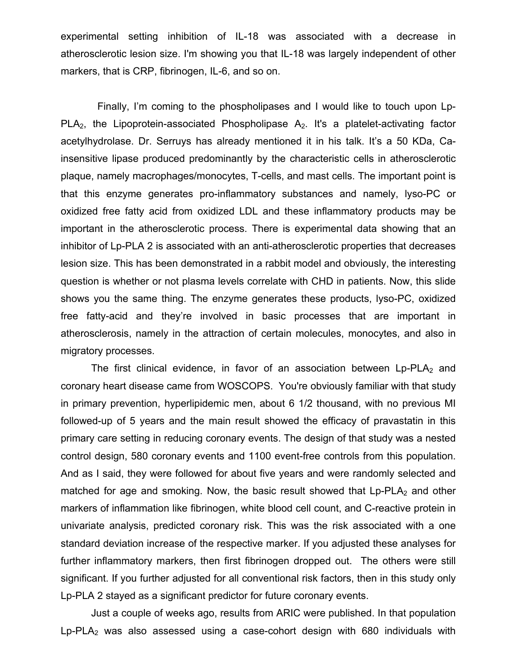experimental setting inhibition of IL-18 was associated with a decrease in atherosclerotic lesion size. I'm showing you that IL-18 was largely independent of other markers, that is CRP, fibrinogen, IL-6, and so on.

 Finally, I'm coming to the phospholipases and I would like to touch upon Lp-PLA<sub>2</sub>, the Lipoprotein-associated Phospholipase  $A_2$ . It's a platelet-activating factor acetylhydrolase. Dr. Serruys has already mentioned it in his talk. It's a 50 KDa, Cainsensitive lipase produced predominantly by the characteristic cells in atherosclerotic plaque, namely macrophages/monocytes, T-cells, and mast cells. The important point is that this enzyme generates pro-inflammatory substances and namely, lyso-PC or oxidized free fatty acid from oxidized LDL and these inflammatory products may be important in the atherosclerotic process. There is experimental data showing that an inhibitor of Lp-PLA 2 is associated with an anti-atherosclerotic properties that decreases lesion size. This has been demonstrated in a rabbit model and obviously, the interesting question is whether or not plasma levels correlate with CHD in patients. Now, this slide shows you the same thing. The enzyme generates these products, lyso-PC, oxidized free fatty-acid and they're involved in basic processes that are important in atherosclerosis, namely in the attraction of certain molecules, monocytes, and also in migratory processes.

The first clinical evidence, in favor of an association between  $L_p$ -PLA<sub>2</sub> and coronary heart disease came from WOSCOPS. You're obviously familiar with that study in primary prevention, hyperlipidemic men, about 6 1/2 thousand, with no previous MI followed-up of 5 years and the main result showed the efficacy of pravastatin in this primary care setting in reducing coronary events. The design of that study was a nested control design, 580 coronary events and 1100 event-free controls from this population. And as I said, they were followed for about five years and were randomly selected and matched for age and smoking. Now, the basic result showed that  $L_p-PLA_2$  and other markers of inflammation like fibrinogen, white blood cell count, and C-reactive protein in univariate analysis, predicted coronary risk. This was the risk associated with a one standard deviation increase of the respective marker. If you adjusted these analyses for further inflammatory markers, then first fibrinogen dropped out. The others were still significant. If you further adjusted for all conventional risk factors, then in this study only Lp-PLA 2 stayed as a significant predictor for future coronary events.

 Just a couple of weeks ago, results from ARIC were published. In that population Lp-PLA<sub>2</sub> was also assessed using a case-cohort design with 680 individuals with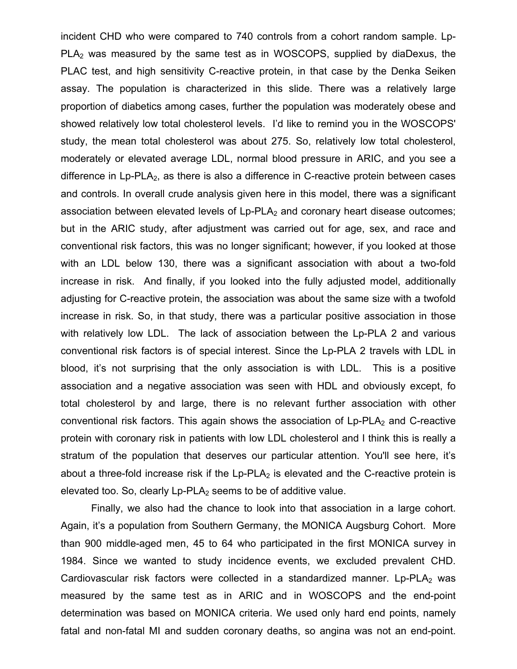incident CHD who were compared to 740 controls from a cohort random sample. Lp-PLA<sub>2</sub> was measured by the same test as in WOSCOPS, supplied by diaDexus, the PLAC test, and high sensitivity C-reactive protein, in that case by the Denka Seiken assay. The population is characterized in this slide. There was a relatively large proportion of diabetics among cases, further the population was moderately obese and showed relatively low total cholesterol levels. I'd like to remind you in the WOSCOPS' study, the mean total cholesterol was about 275. So, relatively low total cholesterol, moderately or elevated average LDL, normal blood pressure in ARIC, and you see a difference in  $L_p-PLA_2$ , as there is also a difference in C-reactive protein between cases and controls. In overall crude analysis given here in this model, there was a significant association between elevated levels of  $L_p$ -PLA $_2$  and coronary heart disease outcomes; but in the ARIC study, after adjustment was carried out for age, sex, and race and conventional risk factors, this was no longer significant; however, if you looked at those with an LDL below 130, there was a significant association with about a two-fold increase in risk. And finally, if you looked into the fully adjusted model, additionally adjusting for C-reactive protein, the association was about the same size with a twofold increase in risk. So, in that study, there was a particular positive association in those with relatively low LDL. The lack of association between the Lp-PLA 2 and various conventional risk factors is of special interest. Since the Lp-PLA 2 travels with LDL in blood, it's not surprising that the only association is with LDL. This is a positive association and a negative association was seen with HDL and obviously except, fo total cholesterol by and large, there is no relevant further association with other conventional risk factors. This again shows the association of  $Lp$ -PLA $_2$  and C-reactive protein with coronary risk in patients with low LDL cholesterol and I think this is really a stratum of the population that deserves our particular attention. You'll see here, it's about a three-fold increase risk if the  $Lp$ -PLA<sub>2</sub> is elevated and the C-reactive protein is elevated too. So, clearly  $L_p$ -PLA<sub>2</sub> seems to be of additive value.

 Finally, we also had the chance to look into that association in a large cohort. Again, it's a population from Southern Germany, the MONICA Augsburg Cohort. More than 900 middle-aged men, 45 to 64 who participated in the first MONICA survey in 1984. Since we wanted to study incidence events, we excluded prevalent CHD. Cardiovascular risk factors were collected in a standardized manner.  $L_p$ -PLA<sub>2</sub> was measured by the same test as in ARIC and in WOSCOPS and the end-point determination was based on MONICA criteria. We used only hard end points, namely fatal and non-fatal MI and sudden coronary deaths, so angina was not an end-point.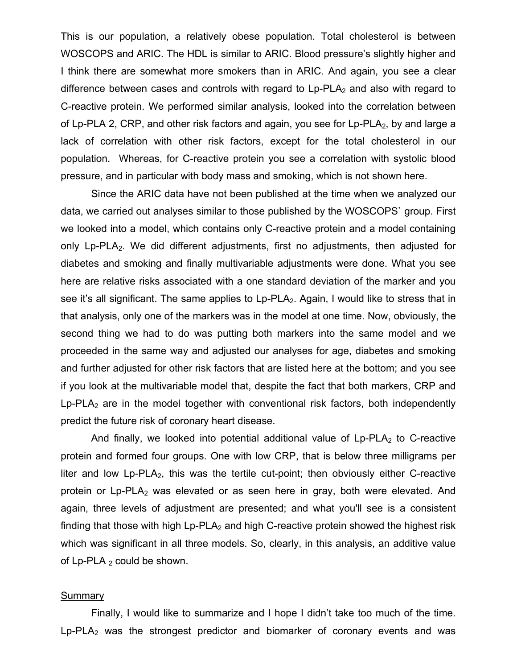This is our population, a relatively obese population. Total cholesterol is between WOSCOPS and ARIC. The HDL is similar to ARIC. Blood pressure's slightly higher and I think there are somewhat more smokers than in ARIC. And again, you see a clear difference between cases and controls with regard to  $L_p$ -PLA $_2$  and also with regard to C-reactive protein. We performed similar analysis, looked into the correlation between of Lp-PLA 2, CRP, and other risk factors and again, you see for  $L_p$ -PLA<sub>2</sub>, by and large a lack of correlation with other risk factors, except for the total cholesterol in our population. Whereas, for C-reactive protein you see a correlation with systolic blood pressure, and in particular with body mass and smoking, which is not shown here.

 Since the ARIC data have not been published at the time when we analyzed our data, we carried out analyses similar to those published by the WOSCOPS` group. First we looked into a model, which contains only C-reactive protein and a model containing only  $Lp-PLA_2$ . We did different adjustments, first no adjustments, then adjusted for diabetes and smoking and finally multivariable adjustments were done. What you see here are relative risks associated with a one standard deviation of the marker and you see it's all significant. The same applies to  $L_p$ -PLA<sub>2</sub>. Again, I would like to stress that in that analysis, only one of the markers was in the model at one time. Now, obviously, the second thing we had to do was putting both markers into the same model and we proceeded in the same way and adjusted our analyses for age, diabetes and smoking and further adjusted for other risk factors that are listed here at the bottom; and you see if you look at the multivariable model that, despite the fact that both markers, CRP and  $Lp$ -PLA<sub>2</sub> are in the model together with conventional risk factors, both independently predict the future risk of coronary heart disease.

And finally, we looked into potential additional value of  $L_p$ -PLA<sub>2</sub> to C-reactive protein and formed four groups. One with low CRP, that is below three milligrams per liter and low  $Lp-PLA_2$ , this was the tertile cut-point; then obviously either C-reactive protein or  $Lp$ -PLA<sub>2</sub> was elevated or as seen here in gray, both were elevated. And again, three levels of adjustment are presented; and what you'll see is a consistent finding that those with high  $Lp$ -PLA<sub>2</sub> and high C-reactive protein showed the highest risk which was significant in all three models. So, clearly, in this analysis, an additive value of  $Lp$ -PLA  $_2$  could be shown.

## **Summary**

 Finally, I would like to summarize and I hope I didn't take too much of the time. Lp-PLA<sub>2</sub> was the strongest predictor and biomarker of coronary events and was